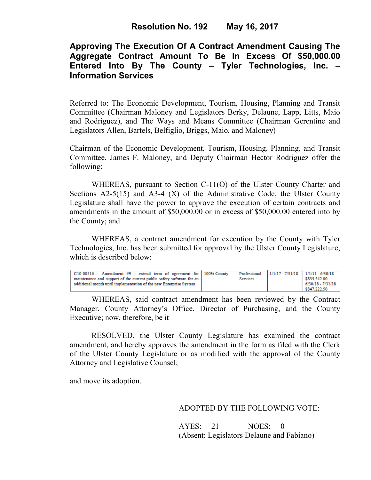# **Approving The Execution Of A Contract Amendment Causing The Aggregate Contract Amount To Be In Excess Of \$50,000.00 Entered Into By The County – Tyler Technologies, Inc. – Information Services**

Referred to: The Economic Development, Tourism, Housing, Planning and Transit Committee (Chairman Maloney and Legislators Berky, Delaune, Lapp, Litts, Maio and Rodriguez), and The Ways and Means Committee (Chairman Gerentine and Legislators Allen, Bartels, Belfiglio, Briggs, Maio, and Maloney)

Chairman of the Economic Development, Tourism, Housing, Planning, and Transit Committee, James F. Maloney, and Deputy Chairman Hector Rodriguez offer the following:

WHEREAS, pursuant to Section C-11(O) of the Ulster County Charter and Sections  $A2-5(15)$  and  $A3-4(X)$  of the Administrative Code, the Ulster County Legislature shall have the power to approve the execution of certain contracts and amendments in the amount of \$50,000.00 or in excess of \$50,000.00 entered into by the County; and

 WHEREAS, a contract amendment for execution by the County with Tyler Technologies, Inc. has been submitted for approval by the Ulster County Legislature, which is described below:

| C10-00516 - Amendment #9 - extend term of agreement for   100% County  |          | Professional 1/1/17 - 7/31/18 1/1/11 - 6/30/18 |                   |
|------------------------------------------------------------------------|----------|------------------------------------------------|-------------------|
| maintenance and support of the current public safety software for an 1 | Services |                                                | \$835.542.00      |
| additional month until implementation of the new Enterprise System     |          |                                                | 6/30/18 - 7/31/18 |
|                                                                        |          |                                                | \$847.222.50      |

WHEREAS, said contract amendment has been reviewed by the Contract Manager, County Attorney's Office, Director of Purchasing, and the County Executive; now, therefore, be it

RESOLVED, the Ulster County Legislature has examined the contract amendment, and hereby approves the amendment in the form as filed with the Clerk of the Ulster County Legislature or as modified with the approval of the County Attorney and Legislative Counsel,

and move its adoption.

## ADOPTED BY THE FOLLOWING VOTE:

AYES: 21 NOES: 0 (Absent: Legislators Delaune and Fabiano)